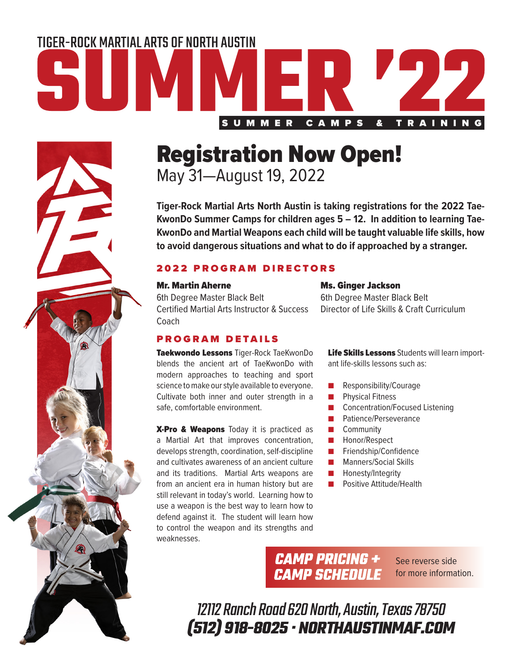## TIGER-ROCK MARTIAL ARTS OF NORTH AUSTIN SUMMER CAMPS & TRAINING

### Registration Now Open!

May 31—August 19, 2022

**Tiger-Rock Martial Arts North Austin is taking registrations for the 2022 Tae-KwonDo Summer Camps for children ages 5 – 12. In addition to learning Tae-KwonDo and Martial Weapons each child will be taught valuable life skills, how to avoid dangerous situations and what to do if approached by a stranger.**

### 2022 PROGRAM DIRECTORS

### Mr. Martin Aherne

6th Degree Master Black Belt Certified Martial Arts Instructor & Success **Coach** 

### PROGRAM DETAILS

Taekwondo Lessons Tiger-Rock TaeKwonDo blends the ancient art of TaeKwonDo with modern approaches to teaching and sport science to make our style available to everyone. Cultivate both inner and outer strength in a safe, comfortable environment.

X-Pro & Weapons Today it is practiced as a Martial Art that improves concentration, develops strength, coordination, self-discipline and cultivates awareness of an ancient culture and its traditions. Martial Arts weapons are from an ancient era in human history but are still relevant in today's world. Learning how to use a weapon is the best way to learn how to defend against it. The student will learn how to control the weapon and its strengths and weaknesses.

### Ms. Ginger Jackson

6th Degree Master Black Belt Director of Life Skills & Craft Curriculum

Life Skills Lessons Students will learn important life-skills lessons such as:

- Responsibility/Courage
- Physical Fitness
- Concentration/Focused Listening
- Patience/Perseverance
- Community
- Honor/Respect
- Friendship/Confidence
- Manners/Social Skills
- Honesty/Integrity
- Positive Attitude/Health

**CAMP PRICING + CAMP SCHEDULE** 

See reverse side for more information.

12112 Ranch Road 620 North, Austin, Texas 78750 **(512) 918-8025 · NORTHAUSTINMAF.COM**